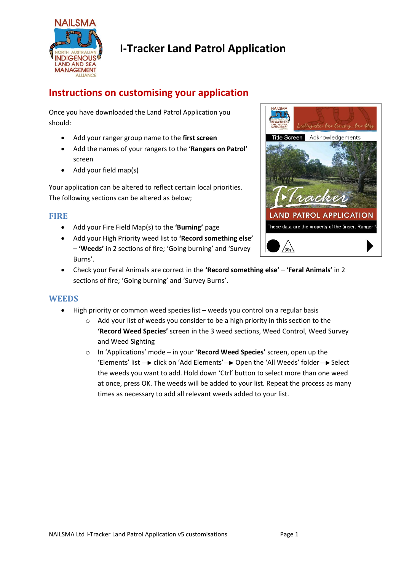

# **I-Tracker Land Patrol Application**

## **Instructions on customising your application**

Once you have downloaded the Land Patrol Application you should:

- Add your ranger group name to the **first screen**
- Add the names of your rangers to the '**Rangers on Patrol'** screen
- Add your field map(s)

Your application can be altered to reflect certain local priorities. The following sections can be altered as below;

### **FIRE**

- Add your Fire Field Map(s) to the **'Burning'** page
- Add your High Priority weed list to **'Record something else'** – **'Weeds'** in 2 sections of fire; 'Going burning' and 'Survey Burns'.



 Check your Feral Animals are correct in the **'Record something else'** – **'Feral Animals'** in 2 sections of fire; 'Going burning' and 'Survey Burns'.

#### **WEEDS**

- High priority or common weed species list weeds you control on a regular basis
	- o Add your list of weeds you consider to be a high priority in this section to the **'Record Weed Species'** screen in the 3 weed sections, Weed Control, Weed Survey and Weed Sighting
	- o In 'Applications' mode in your '**Record Weed Species'** screen, open up the 'Elements' list  $\rightarrow$  click on 'Add Elements'  $\rightarrow$  Open the 'All Weeds' folder  $\rightarrow$  Select the weeds you want to add. Hold down 'Ctrl' button to select more than one weed at once, press OK. The weeds will be added to your list. Repeat the process as many times as necessary to add all relevant weeds added to your list.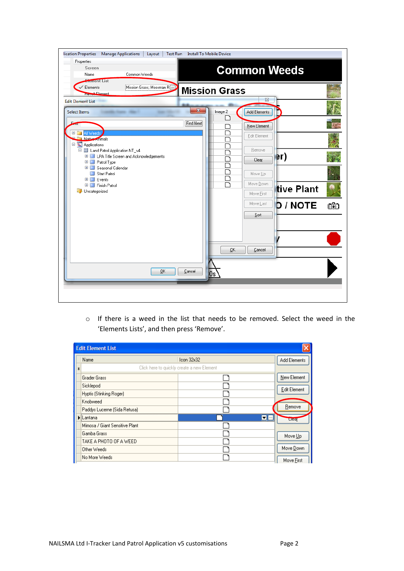| Properties<br><b>Common Weeds</b><br>Screen<br>Common Weeds<br>Name<br><b>Element List</b>                                         |    |  |  |  |
|------------------------------------------------------------------------------------------------------------------------------------|----|--|--|--|
| Mission Grass; Mossman R []<br>Elements<br><b>Mission Grass</b><br><b>Froward</b> Element<br>$\Sigma$                              |    |  |  |  |
| <b>Edit Element List</b><br>$\mathbf{x}$<br>Image 2<br>Add Elements<br><b>Select Items</b>                                         |    |  |  |  |
| Find Next<br>New Element                                                                                                           |    |  |  |  |
| $+$<br>All Weeds<br>Edit Element<br>Native Animals<br>Applications                                                                 |    |  |  |  |
| □ 圖 Land Patrol Application NT_v4<br>Remove<br>∣er)<br>E E LPA Title Screen and Acknowledgements<br>Clear<br><b>EI</b> Patrol Type |    |  |  |  |
| E Seasonal Calendar<br>Start Patrol<br>Move Up<br><b>E</b> ■ Events                                                                |    |  |  |  |
| Move Down<br>E Finish Patrol<br>tive Plant<br><b>D</b> Uncategorized<br>Move First                                                 |    |  |  |  |
| <b>D</b> / NOTE<br>Move Last<br>Sort                                                                                               | ඟි |  |  |  |
|                                                                                                                                    |    |  |  |  |
|                                                                                                                                    |    |  |  |  |
| QK<br>Cancel                                                                                                                       |    |  |  |  |
| QK<br>Cancel<br>0s                                                                                                                 |    |  |  |  |
|                                                                                                                                    |    |  |  |  |

o If there is a weed in the list that needs to be removed. Select the weed in the 'Elements Lists', and then press 'Remove'.

| <b>Edit Element List</b>                             |                 |              |
|------------------------------------------------------|-----------------|--------------|
| Name                                                 | $l$ con $32x32$ | Add Elements |
| Click here to quickly create a new Element<br>$\ast$ |                 |              |
| <b>Grader Grass</b>                                  |                 | New Element  |
| Sicklepod                                            |                 | Edit Element |
| Hyptis (Stinking Roger)                              |                 |              |
| Knobweed                                             |                 |              |
| Paddys Lucerne (Sida Retusa)                         |                 | Remove       |
| Lantana                                              | $\blacksquare$  | <b>Ulear</b> |
| Mimosa / Giant Sensitive Plant                       |                 |              |
| Gamba Grass                                          |                 | Move Up      |
| TAKE A PHOTO OF A WEED                               |                 |              |
| Other Weeds                                          |                 | Move Down    |
| No More Weeds                                        |                 | Move First   |